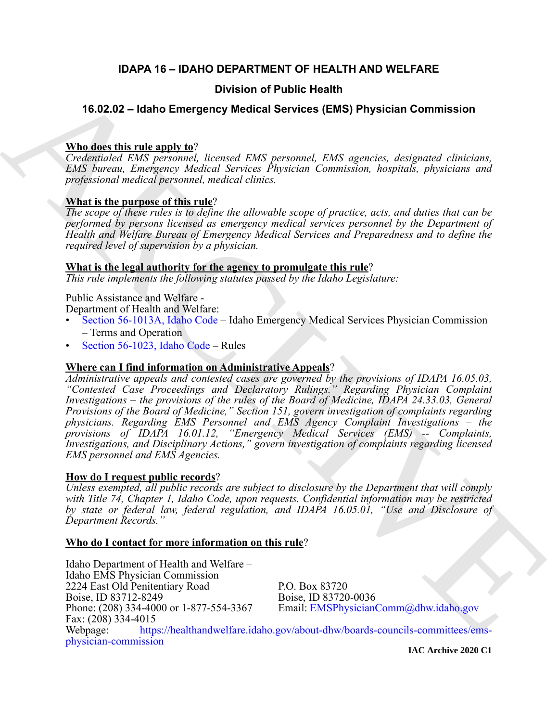### **IDAPA 16 – IDAHO DEPARTMENT OF HEALTH AND WELFARE**

### **Division of Public Health**

### **16.02.02 – Idaho Emergency Medical Services (EMS) Physician Commission**

### **Who does this rule apply to**?

*Credentialed EMS personnel, licensed EMS personnel, EMS agencies, designated clinicians, EMS bureau, Emergency Medical Services Physician Commission, hospitals, physicians and professional medical personnel, medical clinics.*

### **What is the purpose of this rule**?

*The scope of these rules is to define the allowable scope of practice, acts, and duties that can be performed by persons licensed as emergency medical services personnel by the Department of Health and Welfare Bureau of Emergency Medical Services and Preparedness and to define the required level of supervision by a physician.*

### **What is the legal authority for the agency to promulgate this rule**?

*This rule implements the following statutes passed by the Idaho Legislature:*

### Public Assistance and Welfare -

Department of Health and Welfare:

- Section 56-1013A, Idaho Code Idaho Emergency Medical Services Physician Commission – Terms and Operation
- Section 56-1023, Idaho Code Rules

### **Where can I find information on Administrative Appeals**?

**16.02.02 – Idaho Emergency Medical Services (EMS) Physician [C](https://legislature.idaho.gov/statutesrules/idstat/Title56/T56CH10/SECT56-1013A/)ommission<br>
Whaleset this rule annul vary<br>
System and Division ([E](mailto: EMSPhysicianComm@dhw.idaho.gov)MS) Physician Commission<br>
Confessioned** *FMS* **resonant lengths (Figure and FMS resonant distribu** *Administrative appeals and contested cases are governed by the provisions of IDAPA 16.05.03, "Contested Case Proceedings and Declaratory Rulings." Regarding Physician Complaint Investigations – the provisions of the rules of the Board of Medicine, IDAPA 24.33.03, General Provisions of the Board of Medicine," Section 151, govern investigation of complaints regarding physicians. Regarding EMS Personnel and EMS Agency Complaint Investigations – the provisions of IDAPA 16.01.12, "Emergency Medical Services (EMS) -- Complaints, Investigations, and Disciplinary Actions," govern investigation of complaints regarding licensed EMS personnel and EMS Agencies.*

### **How do I request public records**?

*Unless exempted, all public records are subject to disclosure by the Department that will comply with Title 74, Chapter 1, Idaho Code, upon requests. Confidential information may be restricted by state or federal law, federal regulation, and IDAPA 16.05.01, "Use and Disclosure of Department Records."*

### **Who do I contact for more information on this rule**?

Idaho Department of Health and Welfare – Idaho EMS Physician Commission 2224 East Old Penitentiary Road P.O. Box 83720 Boise, ID 83712-8249 Boise, ID 83720-0036 Phone: (208) 334-4000 or 1-877-554-3367 Email: EMSPhysicianComm@dhw.idaho.gov Fax: (208) 334-4015 Webpage: https://healthandwelfare.idaho.gov/about-dhw/boards-councils-committees/emsphysician-commission

**IAC Archive 2020 C1**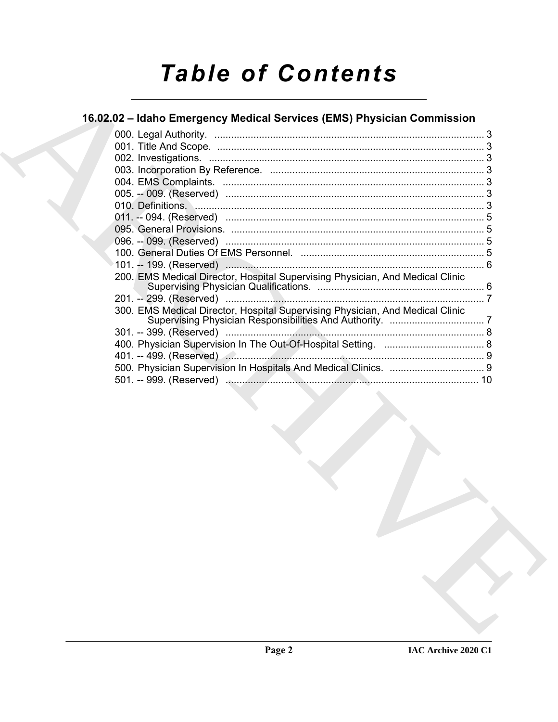# **Table of Contents**

## 16.02.02 - Idaho Emergency Medical Services (EMS) Physician Commission

| 10 |
|----|
|    |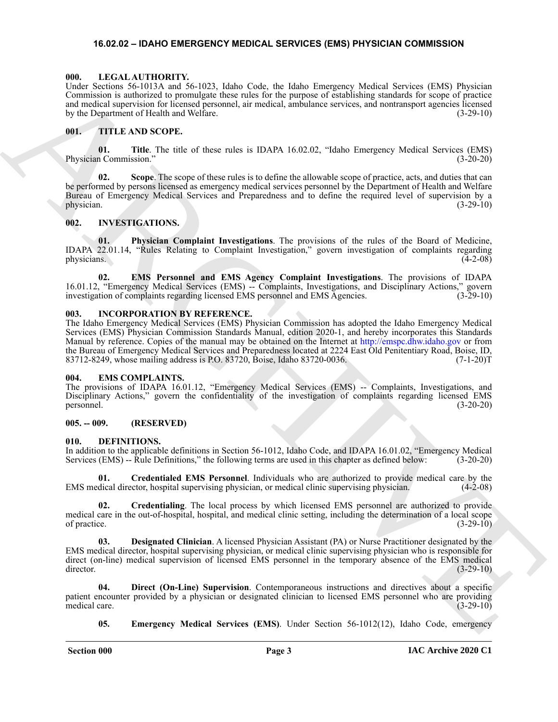### <span id="page-2-17"></span><span id="page-2-0"></span>**16.02.02 – IDAHO EMERGENCY MEDICAL SERVICES (EMS) PHYSICIAN COMMISSION**

### <span id="page-2-1"></span>**000. LEGAL AUTHORITY.**

Under Sections 56-1013A and 56-1023, Idaho Code, the Idaho Emergency Medical Services (EMS) Physician Commission is authorized to promulgate these rules for the purpose of establishing standards for scope of practice and medical supervision for licensed personnel, air medical, ambulance services, and nontransport agencies licensed by the Department of Health and Welfare. (3-29-10)

### <span id="page-2-18"></span><span id="page-2-2"></span>**001. TITLE AND SCOPE.**

**01.** Title. The title of these rules is IDAPA 16.02.02, "Idaho Emergency Medical Services (EMS) n Commission." (3-20-20) Physician Commission."

**02. Scope**. The scope of these rules is to define the allowable scope of practice, acts, and duties that can be performed by persons licensed as emergency medical services personnel by the Department of Health and Welfare Bureau of Emergency Medical Services and Preparedness and to define the required level of supervision by a physician.  $(3-29-10)$ 

### <span id="page-2-16"></span><span id="page-2-3"></span>**002. INVESTIGATIONS.**

**01. Physician Complaint Investigations**. The provisions of the rules of the Board of Medicine, IDAPA 22.01.14, "Rules Relating to Complaint Investigation," govern investigation of complaints regarding physicians.  $(4-2-08)$ 

**02. EMS Personnel and EMS Agency Complaint Investigations**. The provisions of IDAPA 16.01.12, "Emergency Medical Services (EMS) -- Complaints, Investigations, and Disciplinary Actions," govern investigation of complaints regarding licensed EMS personnel and EMS Agencies. (3-29-10) investigation of complaints regarding licensed EMS personnel and EMS Agencies.

### <span id="page-2-15"></span><span id="page-2-4"></span>**003. INCORPORATION BY REFERENCE.**

Using Sections 56 (113.5 and 56 (124). Mathe case for the foreign behaviour content of the foreign of the section of the section of the section of the section of the section of the section of the section of the section of The Idaho Emergency Medical Services (EMS) Physician Commission has adopted the Idaho Emergency Medical Services (EMS) Physician Commission Standards Manual, edition 2020-1, and hereby incorporates this Standards Manual by reference. Copies of the manual may be obtained on the Internet at http://emspc.dhw.idaho.gov or from the Bureau of Emergency Medical Services and Preparedness located at 2224 East Old Penitentiary Road, Boise, ID,<br>83712-8249, whose mailing address is P.O. 83720, Boise, Idaho 83720-0036. 83712-8249, whose mailing address is P.O. 83720, Boise, Idaho 83720-0036.

### <span id="page-2-14"></span><span id="page-2-5"></span>**004. EMS COMPLAINTS.**

The provisions of IDAPA 16.01.12, "Emergency Medical Services (EMS) -- Complaints, Investigations, and Disciplinary Actions," govern the confidentiality of the investigation of complaints regarding licensed EMS personnel. (3-20-20)

### <span id="page-2-6"></span>**005. -- 009. (RESERVED)**

### <span id="page-2-8"></span><span id="page-2-7"></span>**010. DEFINITIONS.**

In addition to the applicable definitions in Section 56-1012, Idaho Code, and IDAPA 16.01.02, "Emergency Medical Services (EMS) -- Rule Definitions," the following terms are used in this chapter as defined below: (3-20-20) Services (EMS) -- Rule Definitions," the following terms are used in this chapter as defined below:

<span id="page-2-9"></span>**Credentialed EMS Personnel**. Individuals who are authorized to provide medical care by the ector, hospital supervising physician, or medical clinic supervising physician. (4-2-08) EMS medical director, hospital supervising physician, or medical clinic supervising physician.

<span id="page-2-10"></span>**02. Credentialing**. The local process by which licensed EMS personnel are authorized to provide medical care in the out-of-hospital, hospital, and medical clinic setting, including the determination of a local scope of practice. (3-29-10)

<span id="page-2-11"></span>**03. Designated Clinician**. A licensed Physician Assistant (PA) or Nurse Practitioner designated by the EMS medical director, hospital supervising physician, or medical clinic supervising physician who is responsible for direct (on-line) medical supervision of licensed EMS personnel in the temporary absence of the EMS medical director. (3-29-10)

**04. Direct (On-Line) Supervision**. Contemporaneous instructions and directives about a specific patient encounter provided by a physician or designated clinician to licensed EMS personnel who are providing medical care. (3-29-10)

<span id="page-2-13"></span><span id="page-2-12"></span>**05. Emergency Medical Services (EMS)**. Under Section 56-1012(12), Idaho Code, emergency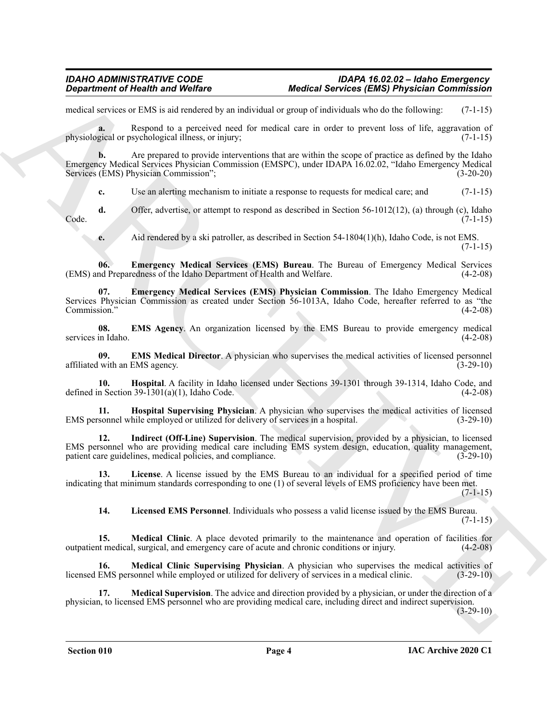### *IDAHO ADMINISTRATIVE CODE IDAPA 16.02.02 – Idaho Emergency Department of Health and Welfare Medical Services (EMS) Physician Commission*

medical services or EMS is aid rendered by an individual or group of individuals who do the following: (7-1-15)

**a.** Respond to a perceived need for medical care in order to prevent loss of life, aggravation of physiological or psychological illness, or injury; (7-1-15)

**b.** Are prepared to provide interventions that are within the scope of practice as defined by the Idaho Emergency Medical Services Physician Commission (EMSPC), under IDAPA 16.02.02, "Idaho Emergency Medical Services (EMS) Physician Commission"; (3-20-20)

**c.** Use an alerting mechanism to initiate a response to requests for medical care; and  $(7-1-15)$ 

**d.** Offer, advertise, or attempt to respond as described in Section 56-1012(12), (a) through (c), Idaho (7-1-15) Code. (7-1-15)

<span id="page-3-1"></span><span id="page-3-0"></span>**e.** Aid rendered by a ski patroller, as described in Section 54-1804(1)(h), Idaho Code, is not EMS.

(7-1-15)

**06. Emergency Medical Services (EMS) Bureau**. The Bureau of Emergency Medical Services (EMS) and Preparedness of the Idaho Department of Health and Welfare. (4-2-08)

**Equation of Health was Welfax Control and Medical Services (EMS) Physician Control anti-<br>
and services versions in a photon of the match share and interest the state of the approximate (CM-12)<br>
physician or Newton is a p 07. Emergency Medical Services (EMS) Physician Commission**. The Idaho Emergency Medical Services Physician Commission as created under Section 56-1013A, Idaho Code, hereafter referred to as "the Commission."

<span id="page-3-2"></span>**08. EMS Agency**. An organization licensed by the EMS Bureau to provide emergency medical services in Idaho.

<span id="page-3-3"></span>**09. EMS Medical Director**. A physician who supervises the medical activities of licensed personnel affiliated with an EMS agency. (3-29-10)

<span id="page-3-4"></span>**10. Hospital**. A facility in Idaho licensed under Sections 39-1301 through 39-1314, Idaho Code, and defined in Section  $39-1301(a)(1)$ , Idaho Code. (4-2-08)

<span id="page-3-5"></span>**11. Hospital Supervising Physician**. A physician who supervises the medical activities of licensed sonnel while employed or utilized for delivery of services in a hospital. (3-29-10) EMS personnel while employed or utilized for delivery of services in a hospital.

<span id="page-3-6"></span>**12. Indirect (Off-Line) Supervision**. The medical supervision, provided by a physician, to licensed EMS personnel who are providing medical care including EMS system design, education, quality management, patient care guidelines, medical policies, and compliance. (3-29-10)

**13. License**. A license issued by the EMS Bureau to an individual for a specified period of time indicating that minimum standards corresponding to one (1) of several levels of EMS proficiency have been met.  $(7-1-15)$ 

<span id="page-3-10"></span><span id="page-3-9"></span><span id="page-3-8"></span><span id="page-3-7"></span>**14. Licensed EMS Personnel**. Individuals who possess a valid license issued by the EMS Bureau.  $(7-1-15)$ 

**15. Medical Clinic**. A place devoted primarily to the maintenance and operation of facilities for outpatient medical, surgical, and emergency care of acute and chronic conditions or injury. (4-2-08)

**16. Medical Clinic Supervising Physician**. A physician who supervises the medical activities of licensed EMS personnel while employed or utilized for delivery of services in a medical clinic. (3-29-10)

<span id="page-3-11"></span>**17. Medical Supervision**. The advice and direction provided by a physician, or under the direction of a physician, to licensed EMS personnel who are providing medical care, including direct and indirect supervision.

 $(3-29-10)$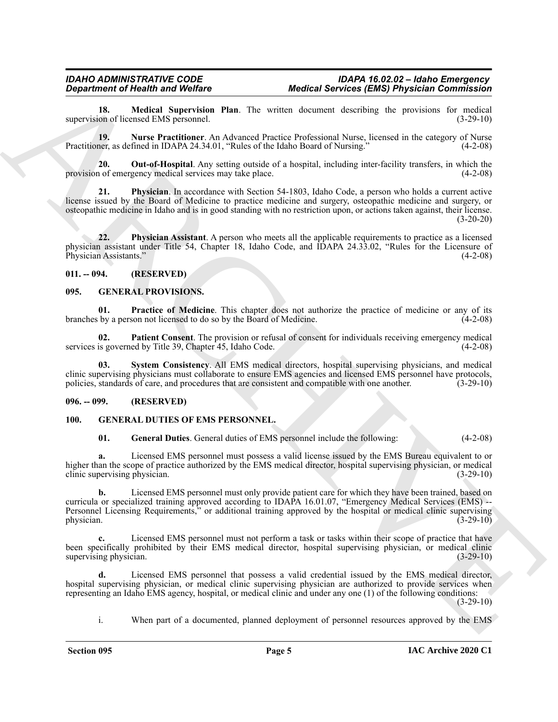<span id="page-4-4"></span>**18. Medical Supervision Plan**. The written document describing the provisions for medical on of licensed EMS personnel. (3-29-10) supervision of licensed EMS personnel.

<span id="page-4-5"></span>**19. Nurse Practitioner**. An Advanced Practice Professional Nurse, licensed in the category of Nurse Practitioner, as defined in IDAPA 24.34.01, "Rules of the Idaho Board of Nursing." (4-2-08)

<span id="page-4-6"></span>**20. Out-of-Hospital**. Any setting outside of a hospital, including inter-facility transfers, in which the provision of emergency medical services may take place. (4-2-08)

<span id="page-4-7"></span>**21. Physician**. In accordance with Section 54-1803, Idaho Code, a person who holds a current active license issued by the Board of Medicine to practice medicine and surgery, osteopathic medicine and surgery, or osteopathic medicine in Idaho and is in good standing with no restriction upon, or actions taken against, their license. (3-20-20)

<span id="page-4-8"></span>**22. Physician Assistant**. A person who meets all the applicable requirements to practice as a licensed physician assistant under Title 54, Chapter 18, Idaho Code, and IDAPA 24.33.02, "Rules for the Licensure of Physician Assistants."

### <span id="page-4-0"></span>**011. -- 094. (RESERVED)**

### <span id="page-4-11"></span><span id="page-4-1"></span>**095. GENERAL PROVISIONS.**

<span id="page-4-13"></span>**01. Practice of Medicine**. This chapter does not authorize the practice of medicine or any of its branches by a person not licensed to do so by the Board of Medicine. (4-2-08)

<span id="page-4-12"></span>**02. Patient Consent**. The provision or refusal of consent for individuals receiving emergency medical services is governed by Title 39, Chapter 45, Idaho Code. (4-2-08)

<span id="page-4-14"></span>**03. System Consistency**. All EMS medical directors, hospital supervising physicians, and medical clinic supervising physicians must collaborate to ensure EMS agencies and licensed EMS personnel have protocols, policies, standards of care, and procedures that are consistent and compatible with one another. (3-29-10)

### <span id="page-4-2"></span>**096. -- 099. (RESERVED)**

### <span id="page-4-3"></span>**100. GENERAL DUTIES OF EMS PERSONNEL.**

<span id="page-4-10"></span><span id="page-4-9"></span>**01. General Duties**. General duties of EMS personnel include the following: (4-2-08)

**a.** Licensed EMS personnel must possess a valid license issued by the EMS Bureau equivalent to or higher than the scope of practice authorized by the EMS medical director, hospital supervising physician, or medical clinic supervising physician. (3-29-10)

**Equivalent of Nearly Works on Workers (EMS) Experimental Sovieting REMS) Experies Constitutions<br>approximately the State Formula (Section 2001) and the state of the state of the state of the state of the State Constitutio b.** Licensed EMS personnel must only provide patient care for which they have been trained, based on curricula or specialized training approved according to IDAPA 16.01.07, "Emergency Medical Services (EMS) --Personnel Licensing Requirements," or additional training approved by the hospital or medical clinic supervising physician. (3-29-10) physician.  $(3-29-10)$ 

**c.** Licensed EMS personnel must not perform a task or tasks within their scope of practice that have been specifically prohibited by their EMS medical director, hospital supervising physician, or medical clinic supervising physician. (3-29-10) supervising physician.

**d.** Licensed EMS personnel that possess a valid credential issued by the EMS medical director, hospital supervising physician, or medical clinic supervising physician are authorized to provide services when representing an Idaho EMS agency, hospital, or medical clinic and under any one (1) of the following conditions:  $(3-29-10)$ 

i. When part of a documented, planned deployment of personnel resources approved by the EMS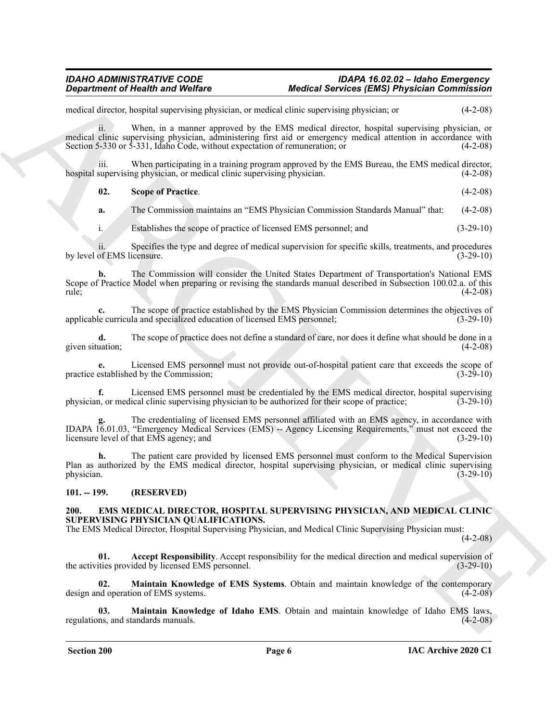### *IDAHO ADMINISTRATIVE CODE IDAPA 16.02.02 – Idaho Emergency Department of Health and Welfare Medical Services (EMS) Physician Commission*

medical director, hospital supervising physician, or medical clinic supervising physician; or (4-2-08)

ii. When, in a manner approved by the EMS medical director, hospital supervising physician, or medical clinic supervising physician, administering first aid or emergency medical attention in accordance with<br>Section 5-330 or 5-331, Idaho Code, without expectation of remuneration; or (4-2-08) Section 5-330 or 5-331, Idaho Code, without expectation of remuneration; or

iii. When participating in a training program approved by the EMS Bureau, the EMS medical director, hospital supervising physician, or medical clinic supervising physician. (4-2-08)

<span id="page-5-6"></span>

| 02. | <b>Scope of Practice.</b> | $(4-2-08)$ |  |
|-----|---------------------------|------------|--|
|     |                           |            |  |

**a.** The Commission maintains an "EMS Physician Commission Standards Manual" that: (4-2-08)

i. Establishes the scope of practice of licensed EMS personnel; and (3-29-10)

ii. Specifies the type and degree of medical supervision for specific skills, treatments, and procedures of EMS licensure. (3-29-10) by level of EMS licensure.

**b.** The Commission will consider the United States Department of Transportation's National EMS Scope of Practice Model when preparing or revising the standards manual described in Subsection 100.02.a. of this rule; (4-2-08)

**c.** The scope of practice established by the EMS Physician Commission determines the objectives of applicable curricula and specialized education of licensed EMS personnel; (3-29-10)

**d.** The scope of practice does not define a standard of care, nor does it define what should be done in a given situation; (4-2-08)

**e.** Licensed EMS personnel must not provide out-of-hospital patient care that exceeds the scope of practice established by the Commission; (3-29-10) (3-29-10)

**f.** Licensed EMS personnel must be credentialed by the EMS medical director, hospital supervising physician, or medical clinic supervising physician to be authorized for their scope of practice; (3-29-10)

**Equivariant of Newthern System Energy and Medical Services (EMS) Physician Commission<br>
and the state looped approximate the state of Newthern System Commission and Medical Services (Newthern System Commission and Medical g.** The credentialing of licensed EMS personnel affiliated with an EMS agency, in accordance with IDAPA 16.01.03, "Emergency Medical Services (EMS) -- Agency Licensing Requirements," must not exceed the licensure level of that EMS agency; and (3-29-10)

**h.** The patient care provided by licensed EMS personnel must conform to the Medical Supervision Plan as authorized by the EMS medical director, hospital supervising physician, or medical clinic supervising physician.  $(3-29-10)$ 

<span id="page-5-0"></span>**101. -- 199. (RESERVED)**

### <span id="page-5-2"></span><span id="page-5-1"></span>**200. EMS MEDICAL DIRECTOR, HOSPITAL SUPERVISING PHYSICIAN, AND MEDICAL CLINIC SUPERVISING PHYSICIAN QUALIFICATIONS.**

The EMS Medical Director, Hospital Supervising Physician, and Medical Clinic Supervising Physician must:

 $(4-2-08)$ 

<span id="page-5-3"></span>**01.** Accept Responsibility. Accept responsibility for the medical direction and medical supervision of ities provided by licensed EMS personnel. (3-29-10) the activities provided by licensed EMS personnel.

<span id="page-5-4"></span>**02. Maintain Knowledge of EMS Systems**. Obtain and maintain knowledge of the contemporary design and operation of EMS systems. (4-2-08)

<span id="page-5-5"></span>**03. Maintain Knowledge of Idaho EMS**. Obtain and maintain knowledge of Idaho EMS laws, regulations, and standards manuals. (4-2-08)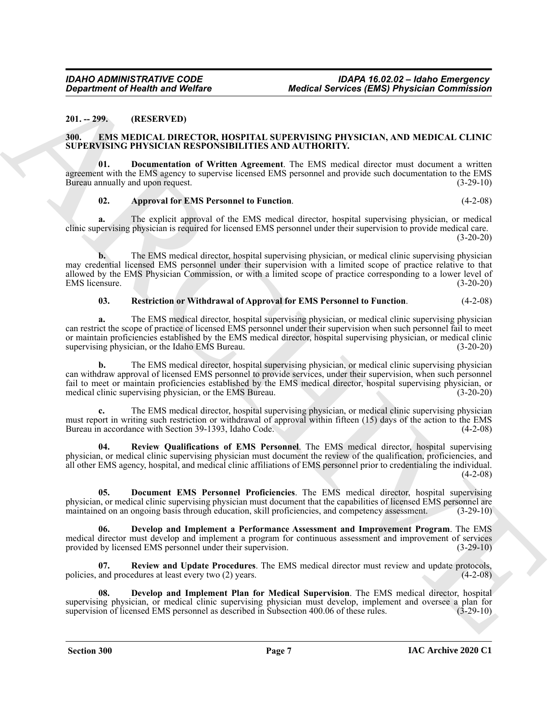### <span id="page-6-2"></span><span id="page-6-0"></span>**201. -- 299. (RESERVED)**

### <span id="page-6-1"></span>**EMS MEDICAL DIRECTOR, HOSPITAL SUPERVISING PHYSICIAN, AND MEDICAL CLINIC SUPERVISING PHYSICIAN RESPONSIBILITIES AND AUTHORITY.**

**01. Documentation of Written Agreement**. The EMS medical director must document a written agreement with the EMS agency to supervise licensed EMS personnel and provide such documentation to the EMS Bureau annually and upon request. (3-29-10)

### <span id="page-6-7"></span><span id="page-6-3"></span>**02. Approval for EMS Personnel to Function**. (4-2-08)

**a.** The explicit approval of the EMS medical director, hospital supervising physician, or medical clinic supervising physician is required for licensed EMS personnel under their supervision to provide medical care.  $(3-20-20)$ 

**b.** The EMS medical director, hospital supervising physician, or medical clinic supervising physician may credential licensed EMS personnel under their supervision with a limited scope of practice relative to that allowed by the EMS Physician Commission, or with a limited scope of practice corresponding to a lower level of EMS licensure. (3-20-20)

### <span id="page-6-8"></span>**03. Restriction or Withdrawal of Approval for EMS Personnel to Function**. (4-2-08)

**a.** The EMS medical director, hospital supervising physician, or medical clinic supervising physician can restrict the scope of practice of licensed EMS personnel under their supervision when such personnel fail to meet or maintain proficiencies established by the EMS medical director, hospital supervising physician, or medical clinic supervising physician, or the Idaho EMS Bureau. (3-20-20)

Generation of Newthern CMA Wedfore Medical Services (EMS) Physician Commission<br>
2011 - 229. MEPRICAL DERICTION, HOPPITAL SUPERVISING PRINCIPALS, AND MEDICAL CLENC<br>
SUPERVISION CONTRACTOR, HOPPITAL SUPERVISING PRINCIPALS, **b.** The EMS medical director, hospital supervising physician, or medical clinic supervising physician can withdraw approval of licensed EMS personnel to provide services, under their supervision, when such personnel fail to meet or maintain proficiencies established by the EMS medical director, hospital supervising physician, or medical clinic supervising physician, or the EMS Bureau. (3-20-20)

**c.** The EMS medical director, hospital supervising physician, or medical clinic supervising physician must report in writing such restriction or withdrawal of approval within fifteen (15) days of the action to the EMS Bureau in accordance with Section 39-1393, Idaho Code. (4-2-08)

<span id="page-6-10"></span>**04. Review Qualifications of EMS Personnel**. The EMS medical director, hospital supervising physician, or medical clinic supervising physician must document the review of the qualification, proficiencies, and all other EMS agency, hospital, and medical clinic affiliations of EMS personnel prior to credentialing the individual.  $(4-2-08)$ 

<span id="page-6-6"></span>**05. Document EMS Personnel Proficiencies**. The EMS medical director, hospital supervising physician, or medical clinic supervising physician must document that the capabilities of licensed EMS personnel are maintained on an ongoing basis through education, skill proficiencies, and competency assessment. (3-29-10)

<span id="page-6-5"></span>**06. Develop and Implement a Performance Assessment and Improvement Program**. The EMS medical director must develop and implement a program for continuous assessment and improvement of services provided by licensed EMS personnel under their supervision. (3-29-10) provided by licensed EMS personnel under their supervision.

<span id="page-6-9"></span>**07. Review and Update Procedures**. The EMS medical director must review and update protocols, policies, and procedures at least every two (2) years. (4-2-08)

<span id="page-6-4"></span>**08. Develop and Implement Plan for Medical Supervision**. The EMS medical director, hospital supervising physician, or medical clinic supervising physician must develop, implement and oversee a plan for supervision of licensed EMS personnel as described in Subsection 400.06 of these rules. (3-29-10)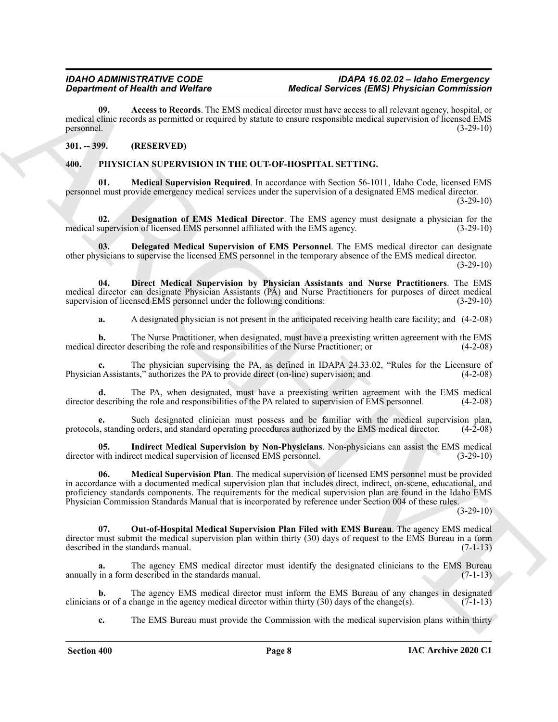<span id="page-7-2"></span>**09. Access to Records**. The EMS medical director must have access to all relevant agency, hospital, or medical clinic records as permitted or required by statute to ensure responsible medical supervision of licensed EMS personnel. (3-29-10)

### <span id="page-7-0"></span>**301. -- 399. (RESERVED)**

### <span id="page-7-9"></span><span id="page-7-3"></span><span id="page-7-1"></span>**400. PHYSICIAN SUPERVISION IN THE OUT-OF-HOSPITAL SETTING.**

**01. Medical Supervision Required**. In accordance with Section 56-1011, Idaho Code, licensed EMS personnel must provide emergency medical services under the supervision of a designated EMS medical director.  $(3-29-10)$ 

<span id="page-7-5"></span>**02. Designation of EMS Medical Director**. The EMS agency must designate a physician for the medical supervision of licensed EMS personnel affiliated with the EMS agency. (3-29-10)

<span id="page-7-4"></span>**03. Delegated Medical Supervision of EMS Personnel**. The EMS medical director can designate other physicians to supervise the licensed EMS personnel in the temporary absence of the EMS medical director. (3-29-10)

**04. Direct Medical Supervision by Physician Assistants and Nurse Practitioners**. The EMS medical director can designate Physician Assistants (PA) and Nurse Practitioners for purposes of direct medical<br>supervision of licensed EMS personnel under the following conditions: (3-29-10) supervision of licensed EMS personnel under the following conditions:

<span id="page-7-6"></span>**a.** A designated physician is not present in the anticipated receiving health care facility; and (4-2-08)

**b.** The Nurse Practitioner, when designated, must have a preexisting written agreement with the EMS medical director describing the role and responsibilities of the Nurse Practitioner; or (4-2-08)

**c.** The physician supervising the PA, as defined in IDAPA 24.33.02, "Rules for the Licensure of Physician Assistants," authorizes the PA to provide direct (on-line) supervision; and (4-2-08)

**d.** The PA, when designated, must have a preexisting written agreement with the EMS medical director describing the role and responsibilities of the PA related to supervision of EMS personnel. (4-2-08)

**e.** Such designated clinician must possess and be familiar with the medical supervision plan, protocols, standing orders, and standard operating procedures authorized by the EMS medical director. (4-2-08)

<span id="page-7-8"></span><span id="page-7-7"></span>**05. Indirect Medical Supervision by Non-Physicians**. Non-physicians can assist the EMS medical director with indirect medical supervision of licensed EMS personnel. (3-29-10)

**Equation of New Worlds.**<br> **Consider the Web Equation and Section and Section Properties (SS) Franchises Constitute The Constitute Constitute The Constitute The Constitute The Constitute The Constitute The Constitute The 06. Medical Supervision Plan**. The medical supervision of licensed EMS personnel must be provided in accordance with a documented medical supervision plan that includes direct, indirect, on-scene, educational, and proficiency standards components. The requirements for the medical supervision plan are found in the Idaho EMS Physician Commission Standards Manual that is incorporated by reference under Section 004 of these rules.

 $(3-29-10)$ 

<span id="page-7-10"></span>**07. Out-of-Hospital Medical Supervision Plan Filed with EMS Bureau**. The agency EMS medical director must submit the medical supervision plan within thirty (30) days of request to the EMS Bureau in a form described in the standards manual. (7-1-13) described in the standards manual.

**a.** The agency EMS medical director must identify the designated clinicians to the EMS Bureau annually in a form described in the standards manual. (7-1-13)

**b.** The agency EMS medical director must inform the EMS Bureau of any changes in designated s or of a change in the agency medical director within thirty  $(30)$  days of the change(s).  $(7-1-13)$ clinicians or of a change in the agency medical director within thirty  $(30)$  days of the change $(s)$ .

**c.** The EMS Bureau must provide the Commission with the medical supervision plans within thirty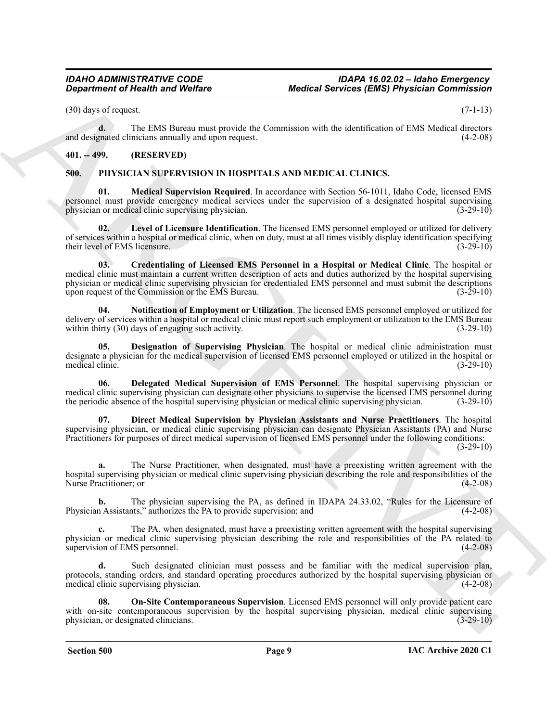$(30)$  days of request.  $(7-1-13)$ 

**d.** The EMS Bureau must provide the Commission with the identification of EMS Medical directors and designated clinicians annually and upon request. (4-2-08)

### <span id="page-8-0"></span>**401. -- 499. (RESERVED)**

### <span id="page-8-2"></span><span id="page-8-1"></span>**500. PHYSICIAN SUPERVISION IN HOSPITALS AND MEDICAL CLINICS.**

<span id="page-8-8"></span>**01. Medical Supervision Required**. In accordance with Section 56-1011, Idaho Code, licensed EMS personnel must provide emergency medical services under the supervision of a designated hospital supervising physician or medical clinic supervising physician. (3-29-10)

<span id="page-8-7"></span><span id="page-8-3"></span>Level of Licensure Identification. The licensed EMS personnel employed or utilized for delivery of services within a hospital or medical clinic, when on duty, must at all times visibly display identification specifying<br>(3-29-10)<br>(3-29-10) their level of EMS licensure.

**Equivariant of Newton Wolfres**<br>
(39) as y strength word Wolfres<br>
(39) as y strength word and the properties of the Schwarizer with the interdependent of Newton (1943)<br>
and the strength word of the Schwarizer with the Con **03. Credentialing of Licensed EMS Personnel in a Hospital or Medical Clinic**. The hospital or medical clinic must maintain a current written description of acts and duties authorized by the hospital supervising physician or medical clinic supervising physician for credentialed EMS personnel and must submit the descriptions upon request of the Commission or the EMS Bureau. (3-29-10)

<span id="page-8-9"></span>**04. Notification of Employment or Utilization**. The licensed EMS personnel employed or utilized for delivery of services within a hospital or medical clinic must report such employment or utilization to the EMS Bureau within thirty (30) days of engaging such activity. (3-29-10)

<span id="page-8-5"></span>**05. Designation of Supervising Physician**. The hospital or medical clinic administration must designate a physician for the medical supervision of licensed EMS personnel employed or utilized in the hospital or medical clinic. (3-29-10)

<span id="page-8-4"></span>**06. Delegated Medical Supervision of EMS Personnel**. The hospital supervising physician or medical clinic supervising physician can designate other physicians to supervise the licensed EMS personnel during the periodic absence of the hospital supervising physician or medical clinic supervising physician. (3-29-10)

<span id="page-8-6"></span>**07. Direct Medical Supervision by Physician Assistants and Nurse Practitioners**. The hospital supervising physician, or medical clinic supervising physician can designate Physician Assistants (PA) and Nurse Practitioners for purposes of direct medical supervision of licensed EMS personnel under the following conditions: (3-29-10)

**a.** The Nurse Practitioner, when designated, must have a preexisting written agreement with the hospital supervising physician or medical clinic supervising physician describing the role and responsibilities of the Nurse Practitioner; or (4-2-08)

**b.** The physician supervising the PA, as defined in IDAPA 24.33.02, "Rules for the Licensure of n Assistants," authorizes the PA to provide supervision; and (4-2-08) Physician Assistants," authorizes the PA to provide supervision; and

**c.** The PA, when designated, must have a preexisting written agreement with the hospital supervising physician or medical clinic supervising physician describing the role and responsibilities of the PA related to supervision of EMS personnel. (4-2-08)

**d.** Such designated clinician must possess and be familiar with the medical supervision plan, protocols, standing orders, and standard operating procedures authorized by the hospital supervising physician or medical clinic supervising physician. (4-2-08)

<span id="page-8-10"></span>**08. On-Site Contemporaneous Supervision**. Licensed EMS personnel will only provide patient care with on-site contemporaneous supervision by the hospital supervising physician, medical clinic supervising physician, or designated clinicians. (3-29-10)

 **Section 500 Page 9**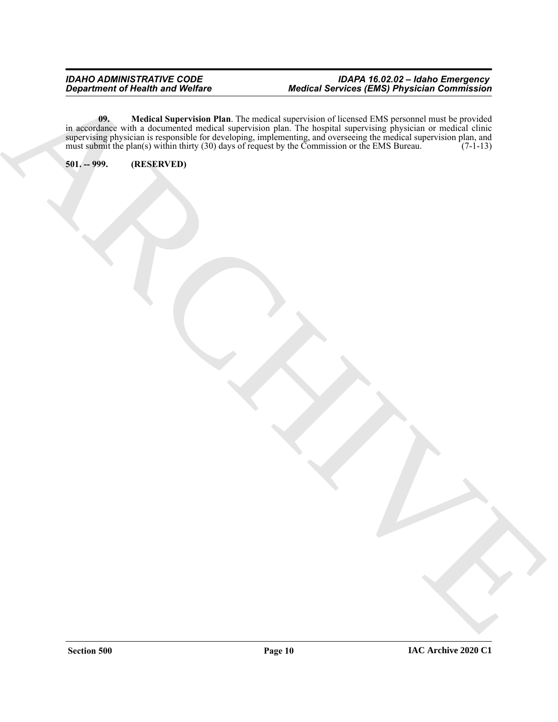### <span id="page-9-1"></span>*IDAHO ADMINISTRATIVE CODE IDAPA 16.02.02 – Idaho Emergency Department of Health and Welfare Medical Services (EMS) Physician Commission*

ARCHIVE **09. Medical Supervision Plan**. The medical supervision of licensed EMS personnel must be provided in accordance with a documented medical supervision plan. The hospital supervising physician or medical clinic supervising physician is responsible for developing, implementing, and overseeing the medical supervision plan, and must submit the plan(s) within thirty (30) days of request by the Commission or the EMS Bureau. (7-1-13)

<span id="page-9-0"></span>**501. -- 999. (RESERVED)**